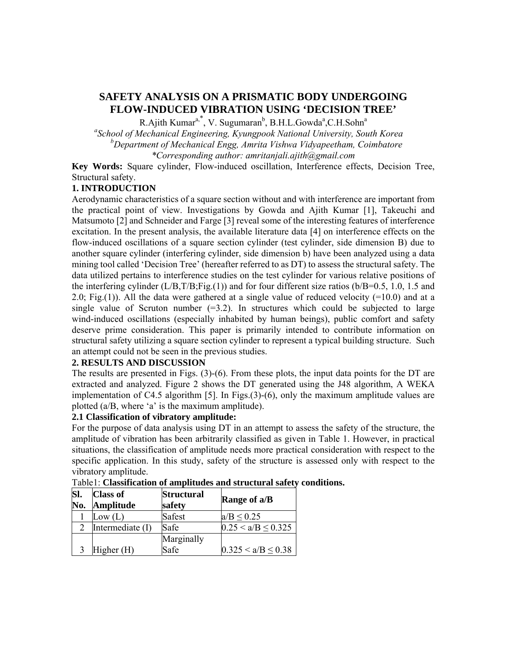# **SAFETY ANALYSIS ON A PRISMATIC BODY UNDERGOING FLOW-INDUCED VIBRATION USING 'DECISION TREE'**

R.Ajith Kumar<sup>a,\*</sup>, V. Sugumaran<sup>b</sup>, B.H.L.Gowda<sup>a</sup>,C.H.Sohn<sup>a</sup>

*a School of Mechanical Engineering, Kyungpook National University, South Korea* 

 *<sup>b</sup> Department of Mechanical Engg, Amrita Vishwa Vidyapeetham, Coimbatore* 

*\*Corresponding author: amritanjali.ajith@gmail.com* 

**Key Words:** Square cylinder, Flow-induced oscillation, Interference effects, Decision Tree, Structural safety.

## **1. INTRODUCTION**

Aerodynamic characteristics of a square section without and with interference are important from the practical point of view. Investigations by Gowda and Ajith Kumar [1], Takeuchi and Matsumoto [2] and Schneider and Farge [3] reveal some of the interesting features of interference excitation. In the present analysis, the available literature data [4] on interference effects on the flow-induced oscillations of a square section cylinder (test cylinder, side dimension B) due to another square cylinder (interfering cylinder, side dimension b) have been analyzed using a data mining tool called 'Decision Tree' (hereafter referred to as DT) to assess the structural safety. The data utilized pertains to interference studies on the test cylinder for various relative positions of the interfering cylinder (L/B,T/B;Fig.(1)) and for four different size ratios (b/B=0.5, 1.0, 1.5 and 2.0; Fig.(1)). All the data were gathered at a single value of reduced velocity (=10.0) and at a single value of Scruton number  $(=3.2)$ . In structures which could be subjected to large wind-induced oscillations (especially inhabited by human beings), public comfort and safety deserve prime consideration. This paper is primarily intended to contribute information on structural safety utilizing a square section cylinder to represent a typical building structure. Such an attempt could not be seen in the previous studies.

## **2. RESULTS AND DISCUSSION**

The results are presented in Figs. (3)-(6). From these plots, the input data points for the DT are extracted and analyzed. Figure 2 shows the DT generated using the J48 algorithm, A WEKA implementation of C4.5 algorithm [5]. In Figs.(3)-(6), only the maximum amplitude values are plotted (a/B, where 'a' is the maximum amplitude).

#### **2.1 Classification of vibratory amplitude:**

For the purpose of data analysis using DT in an attempt to assess the safety of the structure, the amplitude of vibration has been arbitrarily classified as given in Table 1. However, in practical situations, the classification of amplitude needs more practical consideration with respect to the specific application. In this study, safety of the structure is assessed only with respect to the vibratory amplitude.

| SI.<br>No. | <b>Class of</b><br>Amplitude | <b>Structural</b><br>safety | Range of a/B           |  |
|------------|------------------------------|-----------------------------|------------------------|--|
|            | Low $(L)$                    | Safest                      | $a/B \leq 0.25$        |  |
|            | Intermediate (I)             | Safe                        | $0.25 < a/B \le 0.325$ |  |
|            |                              | Marginally                  |                        |  |
|            | Higher $(H)$                 | Safe                        | $0.325 < a/B \le 0.38$ |  |

Table1: **Classification of amplitudes and structural safety conditions.**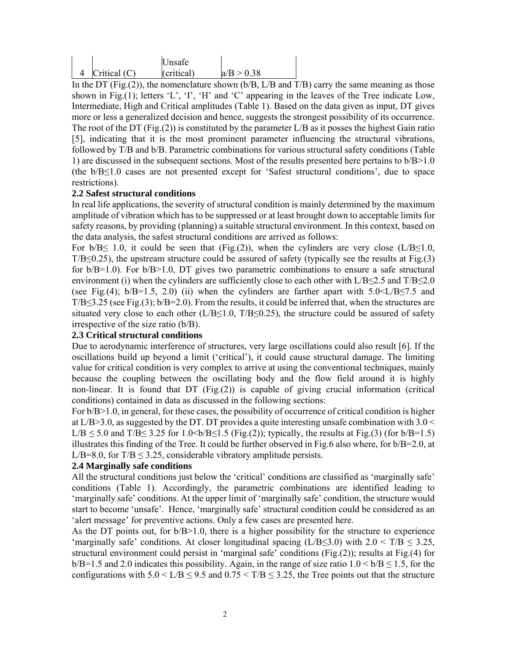|                | Unsafe     |            |
|----------------|------------|------------|
| Critical $(C)$ | (critical) | a/B > 0.38 |

In the DT (Fig.(2)), the nomenclature shown ( $b/B$ ,  $L/B$  and  $T/B$ ) carry the same meaning as those shown in Fig.(1); letters 'L', 'I', 'H' and 'C' appearing in the leaves of the Tree indicate Low, Intermediate, High and Critical amplitudes (Table 1). Based on the data given as input, DT gives more or less a generalized decision and hence, suggests the strongest possibility of its occurrence. The root of the DT (Fig.(2)) is constituted by the parameter  $L/B$  as it posses the highest Gain ratio [5], indicating that it is the most prominent parameter influencing the structural vibrations, followed by T/B and b/B. Parametric combinations for various structural safety conditions (Table 1) are discussed in the subsequent sections. Most of the results presented here pertains to b/B>1.0 (the b/B≤1.0 cases are not presented except for 'Safest structural conditions', due to space restrictions).

## **2.2 Safest structural conditions**

In real life applications, the severity of structural condition is mainly determined by the maximum amplitude of vibration which has to be suppressed or at least brought down to acceptable limits for safety reasons, by providing (planning) a suitable structural environment. In this context, based on the data analysis, the safest structural conditions are arrived as follows:

For  $b/B \le 1.0$ , it could be seen that (Fig.(2)), when the cylinders are very close (L/B $\le 1.0$ ,  $T/B \leq 0.25$ ), the upstream structure could be assured of safety (typically see the results at Fig.(3) for  $b/B=1.0$ ). For  $b/B>1.0$ , DT gives two parametric combinations to ensure a safe structural environment (i) when the cylinders are sufficiently close to each other with  $L/B \le 2.5$  and  $T/B \le 2.0$ (see Fig.(4);  $b/B=1.5$ , 2.0) (ii) when the cylinders are farther apart with  $5.0 \le L/B \le 7.5$  and  $T/B \leq 3.25$  (see Fig.(3); b/B=2.0). From the results, it could be inferred that, when the structures are situated very close to each other ( $L/B \le 1.0$ ,  $T/B \le 0.25$ ), the structure could be assured of safety irrespective of the size ratio (b/B).

## **2.3 Critical structural conditions**

Due to aerodynamic interference of structures, very large oscillations could also result [6]. If the oscillations build up beyond a limit ('critical'), it could cause structural damage. The limiting value for critical condition is very complex to arrive at using the conventional techniques, mainly because the coupling between the oscillating body and the flow field around it is highly non-linear. It is found that DT  $(Fig. (2))$  is capable of giving crucial information (critical conditions) contained in data as discussed in the following sections:

For  $b/B>1.0$ , in general, for these cases, the possibility of occurrence of critical condition is higher at  $L/B > 3.0$ , as suggested by the DT. DT provides a quite interesting unsafe combination with 3.0  $\le$ L/B ≤ 5.0 and T/B≤ 3.25 for 1.0<br/>b/B≤1.5 (Fig.(2)); typically, the results at Fig.(3) (for b/B=1.5) illustrates this finding of the Tree. It could be further observed in Fig.6 also where, for  $b/B=2.0$ , at L/B=8.0, for  $T/B \le 3.25$ , considerable vibratory amplitude persists.

#### **2.4 Marginally safe conditions**

All the structural conditions just below the 'critical' conditions are classified as 'marginally safe' conditions (Table 1). Accordingly, the parametric combinations are identified leading to 'marginally safe' conditions. At the upper limit of 'marginally safe' condition, the structure would start to become 'unsafe'. Hence, 'marginally safe' structural condition could be considered as an 'alert message' for preventive actions. Only a few cases are presented here.

As the DT points out, for  $b/B>1.0$ , there is a higher possibility for the structure to experience 'marginally safe' conditions. At closer longitudinal spacing (L/B≤3.0) with  $2.0 < T/B \le 3.25$ , structural environment could persist in 'marginal safe' conditions (Fig.(2)); results at Fig.(4) for  $b/B=1.5$  and 2.0 indicates this possibility. Again, in the range of size ratio  $1.0 < b/B \le 1.5$ , for the configurations with  $5.0 \le L/B \le 9.5$  and  $0.75 \le T/B \le 3.25$ , the Tree points out that the structure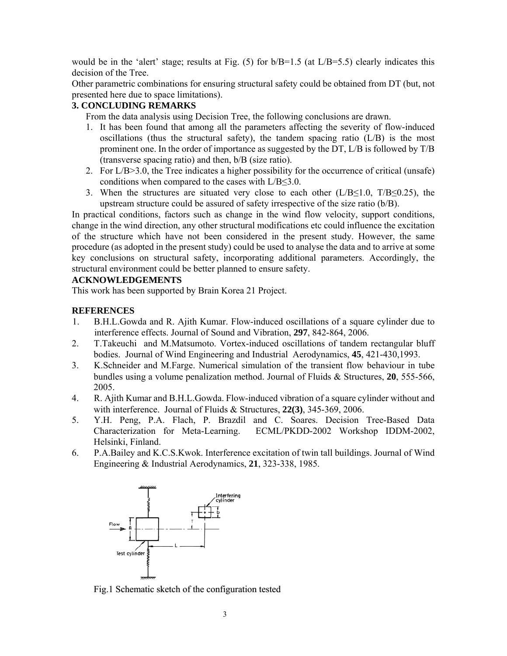would be in the 'alert' stage; results at Fig. (5) for  $b/B=1.5$  (at  $L/B=5.5$ ) clearly indicates this decision of the Tree.

Other parametric combinations for ensuring structural safety could be obtained from DT (but, not presented here due to space limitations).

## **3. CONCLUDING REMARKS**

From the data analysis using Decision Tree, the following conclusions are drawn.

- 1. It has been found that among all the parameters affecting the severity of flow-induced oscillations (thus the structural safety), the tandem spacing ratio  $(L/B)$  is the most prominent one. In the order of importance as suggested by the DT, L/B is followed by T/B (transverse spacing ratio) and then, b/B (size ratio).
- 2. For L/B>3.0, the Tree indicates a higher possibility for the occurrence of critical (unsafe) conditions when compared to the cases with L/B≤3.0.
- 3. When the structures are situated very close to each other ( $L/B \le 1.0$ ,  $T/B \le 0.25$ ), the upstream structure could be assured of safety irrespective of the size ratio (b/B).

In practical conditions, factors such as change in the wind flow velocity, support conditions, change in the wind direction, any other structural modifications etc could influence the excitation of the structure which have not been considered in the present study. However, the same procedure (as adopted in the present study) could be used to analyse the data and to arrive at some key conclusions on structural safety, incorporating additional parameters. Accordingly, the structural environment could be better planned to ensure safety.

## **ACKNOWLEDGEMENTS**

This work has been supported by Brain Korea 21 Project.

## **REFERENCES**

- 1. B.H.L.Gowda and R. Ajith Kumar. Flow-induced oscillations of a square cylinder due to interference effects. Journal of Sound and Vibration, **297**, 842-864, 2006.
- 2. T.Takeuchi and M.Matsumoto. Vortex-induced oscillations of tandem rectangular bluff bodies. Journal of Wind Engineering and Industrial Aerodynamics, **45**, 421-430,1993.
- 3. K.Schneider and M.Farge. Numerical simulation of the transient flow behaviour in tube bundles using a volume penalization method. Journal of Fluids & Structures, **20**, 555-566, 2005.
- 4. R. Ajith Kumar and B.H.L.Gowda. Flow-induced vibration of a square cylinder without and with interference. Journal of Fluids & Structures, **22(3)**, 345-369, 2006.
- 5. Y.H. Peng, P.A. Flach, P. Brazdil and C. Soares. Decision Tree-Based Data Characterization for Meta-Learning. ECML/PKDD-2002 Workshop IDDM-2002, Helsinki, Finland.
- 6. P.A.Bailey and K.C.S.Kwok. Interference excitation of twin tall buildings. Journal of Wind Engineering & Industrial Aerodynamics, **21**, 323-338, 1985.



Fig.1 Schematic sketch of the configuration tested